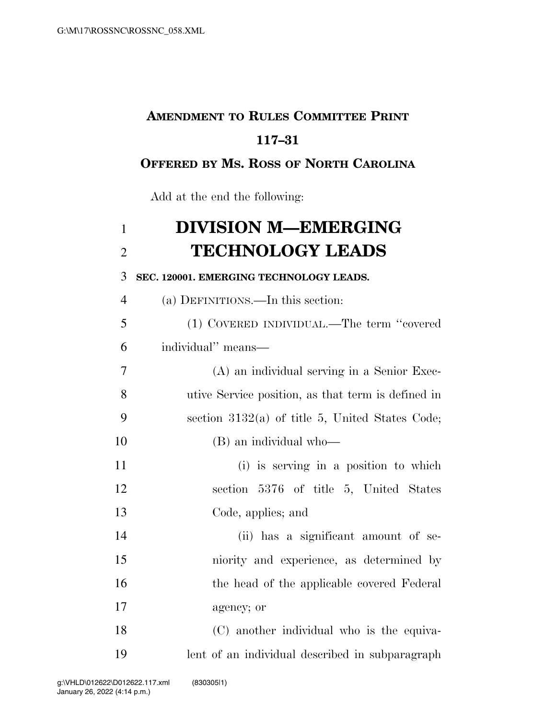## **AMENDMENT TO RULES COMMITTEE PRINT 117–31**

## **OFFERED BY MS. ROSS OF NORTH CAROLINA**

Add at the end the following:

| $\mathbf{1}$   | <b>DIVISION M-EMERGING</b>                         |
|----------------|----------------------------------------------------|
| $\overline{2}$ | <b>TECHNOLOGY LEADS</b>                            |
| 3              | SEC. 120001. EMERGING TECHNOLOGY LEADS.            |
| $\overline{4}$ | (a) DEFINITIONS.—In this section:                  |
| 5              | (1) COVERED INDIVIDUAL.—The term "covered          |
| 6              | individual" means—                                 |
| 7              | (A) an individual serving in a Senior Exec-        |
| 8              | utive Service position, as that term is defined in |
| 9              | section $3132(a)$ of title 5, United States Code;  |
| 10             | (B) an individual who-                             |
| 11             | (i) is serving in a position to which              |
| 12             | section 5376 of title 5, United States             |
| 13             | Code, applies; and                                 |
| 14             | (ii) has a significant amount of se-               |
| 15             | niority and experience, as determined by           |
| 16             | the head of the applicable covered Federal         |
| 17             | agency; or                                         |
| 18             | (C) another individual who is the equiva-          |
|                |                                                    |

lent of an individual described in subparagraph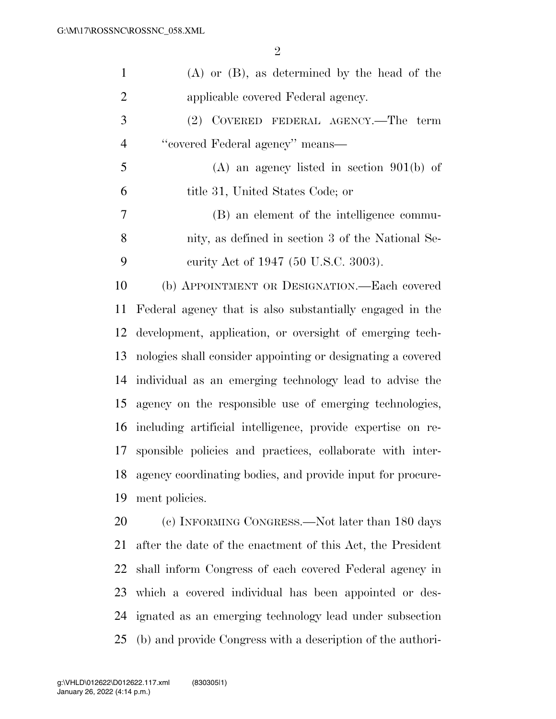| $\mathbf{1}$   | $(A)$ or $(B)$ , as determined by the head of the           |
|----------------|-------------------------------------------------------------|
| $\overline{2}$ | applicable covered Federal agency.                          |
| 3              | (2) COVERED FEDERAL AGENCY.—The term                        |
| $\overline{4}$ | "covered Federal agency" means-                             |
| 5              | $(A)$ an agency listed in section 901(b) of                 |
| 6              | title 31, United States Code; or                            |
| 7              | (B) an element of the intelligence commu-                   |
| 8              | nity, as defined in section 3 of the National Se-           |
| 9              | curity Act of 1947 (50 U.S.C. 3003).                        |
| 10             | (b) APPOINTMENT OR DESIGNATION.—Each covered                |
| 11             | Federal agency that is also substantially engaged in the    |
| 12             | development, application, or oversight of emerging tech-    |
| 13             | nologies shall consider appointing or designating a covered |
| 14             | individual as an emerging technology lead to advise the     |
| 15             | agency on the responsible use of emerging technologies,     |
| 16             | including artificial intelligence, provide expertise on re- |
| 17             | sponsible policies and practices, collaborate with inter-   |
| 18             | agency coordinating bodies, and provide input for procure-  |
| 19             | ment policies.                                              |
| 20             | (c) INFORMING CONGRESS.—Not later than 180 days             |
| 21             | after the date of the enactment of this Act, the President  |

 shall inform Congress of each covered Federal agency in which a covered individual has been appointed or des- ignated as an emerging technology lead under subsection (b) and provide Congress with a description of the authori-